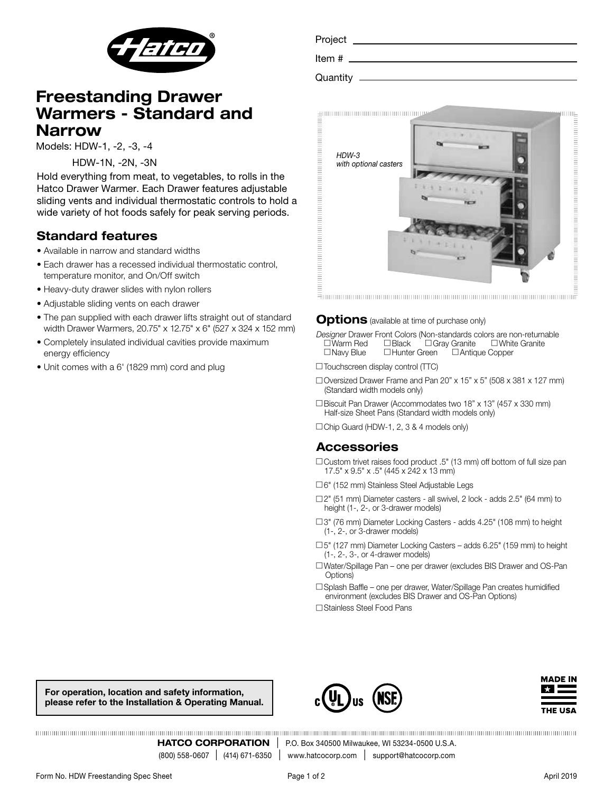

# Freestanding Drawer Warmers - Standard and Narrow

Models: HDW-1, -2, -3, -4

HDW-1N, -2N, -3N

Hold everything from meat, to vegetables, to rolls in the Hatco Drawer Warmer. Each Drawer features adjustable sliding vents and individual thermostatic controls to hold a wide variety of hot foods safely for peak serving periods.

## Standard features

- Available in narrow and standard widths
- Each drawer has a recessed individual thermostatic control, temperature monitor, and On/Off switch
- Heavy-duty drawer slides with nylon rollers
- Adjustable sliding vents on each drawer
- The pan supplied with each drawer lifts straight out of standard width Drawer Warmers, 20.75" x 12.75" x 6" (527 x 324 x 152 mm)
- Completely insulated individual cavities provide maximum energy efficiency
- Unit comes with a 6' (1829 mm) cord and plug

| Project  |  |
|----------|--|
| Item $#$ |  |
| Quantity |  |



#### **Options** (available at time of purchase only)

*Designer* Drawer Front Colors (Non-standards colors are non-returnable  $\square$  Warm Red  $\square$  Black  $\square$  Gray Granite  $\square$  White Granite  $\square$  Navy Blue  $\square$  Hunter Green  $\square$  Antique Copper

- $\Box$  Touchscreen display control (TTC)
- $\Box$  Oversized Drawer Frame and Pan 20" x 15" x 5" (508 x 381 x 127 mm) (Standard width models only)
- $\Box$  Biscuit Pan Drawer (Accommodates two 18" x 13" (457 x 330 mm) Half-size Sheet Pans (Standard width models only)
- $\Box$  Chip Guard (HDW-1, 2, 3 & 4 models only)

### Accessories

- $\Box$  Custom trivet raises food product .5" (13 mm) off bottom of full size pan 17.5" x 9.5" x .5" (445 x 242 x 13 mm)
- □6" (152 mm) Stainless Steel Adjustable Legs
- $\square$ 2" (51 mm) Diameter casters all swivel, 2 lock adds 2.5" (64 mm) to height (1-, 2-, or 3-drawer models)
- □3" (76 mm) Diameter Locking Casters adds 4.25" (108 mm) to height (1-, 2-, or 3-drawer models)
- c 5" (127 mm) Diameter Locking Casters adds 6.25" (159 mm) to height (1-, 2-, 3-, or 4-drawer models)
- c Water/Spillage Pan one per drawer (excludes BIS Drawer and OS-Pan Options)
- $\square$  Splash Baffle one per drawer, Water/Spillage Pan creates humidified environment (excludes BIS Drawer and OS-Pan Options)

□ Stainless Steel Food Pans

For operation, location and safety information, please refer to the Installation & Operating Manual.





**HATCO CORPORATION** | P.O. Box 340500 Milwaukee, WI 53234-0500 U.S.A. (800) 558-0607 | (414) 671-6350 | www.hatcocorp.com | support@hatcocorp.com www.hatcocorp.com | support@hatcocorp.com